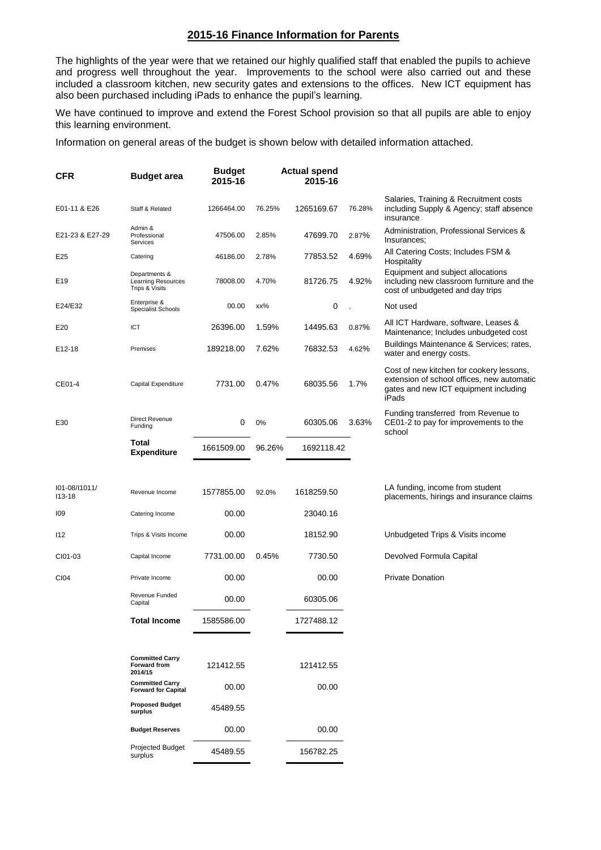## **2015-16 Finance Information for Parents**

The highlights of the year were that we retained our highly qualified staff that enabled the pupils to achieve and progress well throughout the year. Improvements to the school were also carried out and these included a classroom kitchen, new security gates and extensions to the offices. New ICT equipment has also been purchased including iPads to enhance the pupil's learning.

We have continued to improve and extend the Forest School provision so that all pupils are able to enjoy this learning environment.

Information on general areas of the budget is shown below with detailed information attached.

| <b>CFR</b>                  | <b>Budget area</b>                                           | <b>Budget</b><br>2015-16 |        | <b>Actual spend</b><br>2015-16 |        |                                                                                                                                          |
|-----------------------------|--------------------------------------------------------------|--------------------------|--------|--------------------------------|--------|------------------------------------------------------------------------------------------------------------------------------------------|
| E01-11 & E26                | Staff & Related                                              | 1266464.00               | 76.25% | 1265169.67                     | 76.28% | Salaries, Training & Recruitment costs<br>including Supply & Agency; staff absence<br>insurance                                          |
| E21-23 & E27-29             | Admin &<br>Professional<br>Services                          | 47506.00                 | 2.85%  | 47699.70                       | 2.87%  | Administration, Professional Services &<br>Insurances:                                                                                   |
| E25                         | Catering                                                     | 46186.00                 | 2.78%  | 77853.52                       | 4.69%  | All Catering Costs; Includes FSM &<br>Hospitality                                                                                        |
| E19                         | Departments &<br><b>Learning Resources</b><br>Trips & Visits | 78008.00                 | 4.70%  | 81726.75                       | 4.92%  | Equipment and subject allocations<br>including new classroom furniture and the<br>cost of unbudgeted and day trips                       |
| E24/E32                     | Enterprise &<br><b>Specialist Schools</b>                    | 00.00                    | xx%    | 0                              |        | Not used                                                                                                                                 |
| E20                         | ICT                                                          | 26396.00                 | 1.59%  | 14495.63                       | 0.87%  | All ICT Hardware, software, Leases &<br>Maintenance; Includes unbudgeted cost                                                            |
| E12-18                      | Premises                                                     | 189218.00                | 7.62%  | 76832.53                       | 4.62%  | Buildings Maintenance & Services; rates,<br>water and energy costs.                                                                      |
| CE01-4                      | Capital Expenditure                                          | 7731.00                  | 0.47%  | 68035.56                       | 1.7%   | Cost of new kitchen for cookery lessons,<br>extension of school offices, new automatic<br>gates and new ICT equipment including<br>iPads |
| E30                         | <b>Direct Revenue</b><br>Funding                             | 0                        | 0%     | 60305.06                       | 3.63%  | Funding transferred from Revenue to<br>CE01-2 to pay for improvements to the<br>school                                                   |
|                             | Total<br><b>Expenditure</b>                                  | 1661509.00               | 96.26% | 1692118.42                     |        |                                                                                                                                          |
| 101-08/11011/<br>$113 - 18$ | Revenue Income                                               | 1577855.00               | 92.0%  | 1618259.50                     |        | LA funding, income from student<br>placements, hirings and insurance claims                                                              |
| 109                         | Catering Income                                              | 00.00                    |        | 23040.16                       |        |                                                                                                                                          |
| 112                         | Trips & Visits Income                                        | 00.00                    |        | 18152.90                       |        | Unbudgeted Trips & Visits income                                                                                                         |
| CI01-03                     | Capital Income                                               | 7731.00.00               | 0.45%  | 7730.50                        |        | Devolved Formula Capital                                                                                                                 |
| CI04                        | Private Income                                               | 00.00                    |        | 00.00                          |        | <b>Private Donation</b>                                                                                                                  |
|                             | Revenue Funded<br>Capital                                    | 00.00                    |        | 60305.06                       |        |                                                                                                                                          |
|                             | <b>Total Income</b>                                          | 1585586.00               |        | 1727488.12                     |        |                                                                                                                                          |
|                             |                                                              |                          |        |                                |        |                                                                                                                                          |
|                             | <b>Committed Carry</b><br><b>Forward from</b><br>2014/15     | 121412.55                |        | 121412.55                      |        |                                                                                                                                          |
|                             | <b>Committed Carry</b><br><b>Forward for Capital</b>         | 00.00                    |        | 00.00                          |        |                                                                                                                                          |
|                             | <b>Proposed Budget</b><br>surplus                            | 45489.55                 |        |                                |        |                                                                                                                                          |
|                             | <b>Budget Reserves</b>                                       | 00.00                    |        | 00.00                          |        |                                                                                                                                          |
|                             | <b>Projected Budget</b><br>surplus                           | 45489.55                 |        | 156782.25                      |        |                                                                                                                                          |